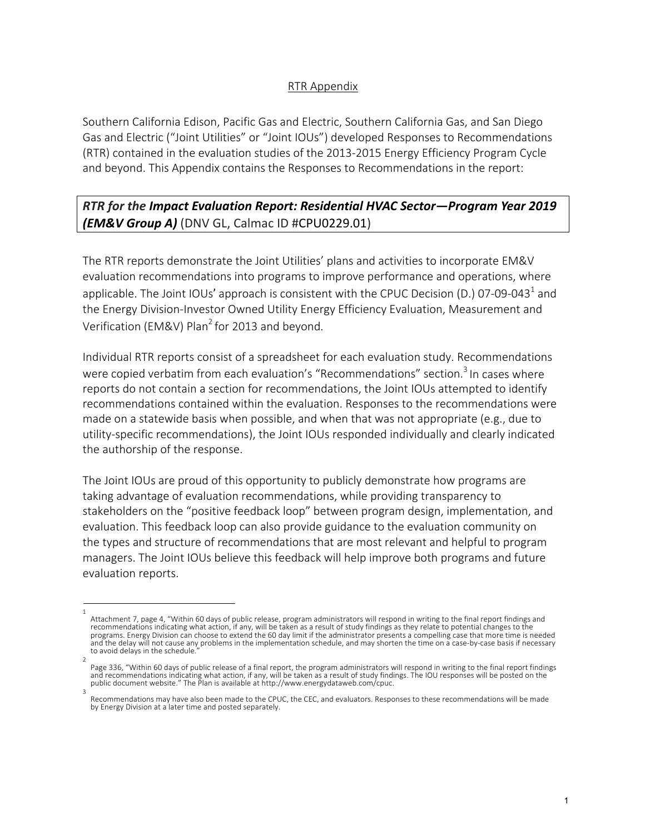## RTR Appendix

Southern California Edison, Pacific Gas and Electric, Southern California Gas, and San Diego Gas and Electric ("Joint Utilities" or "Joint IOUs") developed Responses to Recommendations (RTR) contained in the evaluation studies of the 2013-2015 Energy Efficiency Program Cycle and beyond. This Appendix contains the Responses to Recommendations in the report:

## *RTR for the Impact Evaluation Report: Residential HVAC Sector—Program Year 2019 (EM&V Group A)* (DNV GL, Calmac ID #CPU0229.01)

The RTR reports demonstrate the Joint Utilities' plans and activities to incorporate EM&V evaluation recommendations into programs to improve performance and operations, where applicable. The Joint IOUs' approach is consistent with the CPUC Decision (D.) 07-09-043<sup>1</sup> and the Energy Division-Investor Owned Utility Energy Efficiency Evaluation, Measurement and Verification (EM&V) Plan<sup>2</sup> for 2013 and beyond.

Individual RTR reports consist of a spreadsheet for each evaluation study. Recommendations were copied verbatim from each evaluation's "Recommendations" section.<sup>3</sup> In cases where reports do not contain a section for recommendations, the Joint IOUs attempted to identify recommendations contained within the evaluation. Responses to the recommendations were made on a statewide basis when possible, and when that was not appropriate (e.g., due to utility-specific recommendations), the Joint IOUs responded individually and clearly indicated the authorship of the response.

The Joint IOUs are proud of this opportunity to publicly demonstrate how programs are taking advantage of evaluation recommendations, while providing transparency to stakeholders on the "positive feedback loop" between program design, implementation, and evaluation. This feedback loop can also provide guidance to the evaluation community on the types and structure of recommendations that are most relevant and helpful to program managers. The Joint IOUs believe this feedback will help improve both programs and future evaluation reports.

<sup>1</sup>  Attachment 7, page 4, "Within 60 days of public release, program administrators will respond in writing to the final report findings and recommendations indicating what action, if any, will be taken as a result of study findings as they relate to potential changes to the programs. Energy Division can choose to extend the 60 day limit if the administrator presents a compelling case that more time is needed and the delay will not cause any problems in the implementation schedule, and may shorten the time on a case-by-case basis if necessary to avoid delays in the schedule.

<sup>2</sup>  Page 336, "Within 60 days of public release of a final report, the program administrators will respond in writing to the final report findings and recommendations indicating what action, if any, will be taken as a result of study findings. The IOU responses will be posted on the<br>public document website." The Plan is available at http://www.energydataweb.com/cpuc.

Recommendations may have also been made to the CPUC, the CEC, and evaluators. Responses to these recommendations will be made by Energy Division at a later time and posted separately.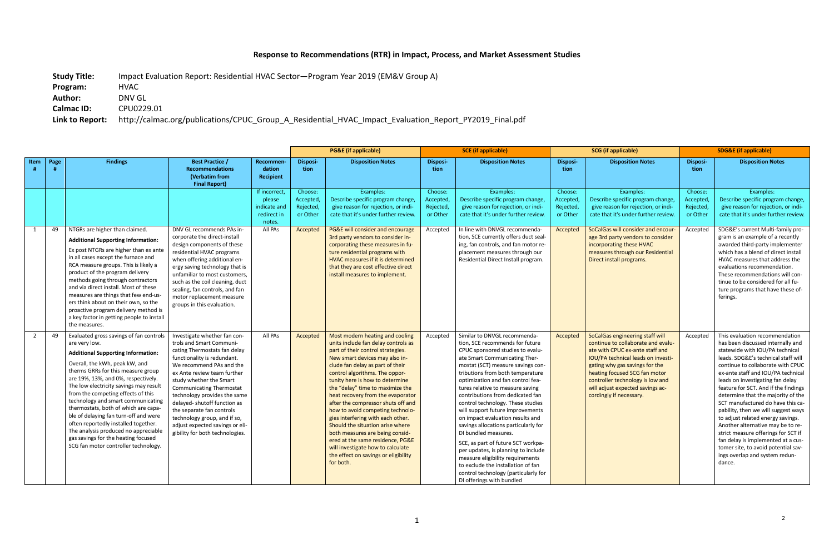## **Response to Recommendations (RTR) in Impact, Process, and Market Assessment Studies**

**Study Title:** Impact Evaluation Report: Residential HVAC Sector—Program Year 2019 (EM&V Group A)

**Program:** HVAC

**Author:** DNV GL

**Calmac ID:** CPU0229.01

**Link to Report:** http://calmac.org/publications/CPUC\_Group\_A\_Residential\_HVAC\_Impact\_Evaluation\_Report\_PY2019\_Final.pdf

|      |      |                                                                                                                                                                                                                                                                                                                                                                                                                                                                                                                                                                                            |                                                                                                                                                                                                                                                                                                                                                                                                                                                     |                                                                  | <b>PG&amp;E</b> (if applicable)              |                                                                                                                                                                                                                                                                                                                                                                                                                                                                                                                                                                                                                                                     | <b>SCE</b> (if applicable)                    |                                                                                                                                                                                                                                                                                                                                                                                                                                                                                                                                                                                                                                                                                                                                     | <b>SCG</b> (if applicable)                    |                                                                                                                                                                                                                                                                                                                             | <b>SDG&amp;E (if applicable)</b>              |                                                                                                                                                                                                                                                                                                                                                                                                                                                                                                                                                                                                                                                                    |
|------|------|--------------------------------------------------------------------------------------------------------------------------------------------------------------------------------------------------------------------------------------------------------------------------------------------------------------------------------------------------------------------------------------------------------------------------------------------------------------------------------------------------------------------------------------------------------------------------------------------|-----------------------------------------------------------------------------------------------------------------------------------------------------------------------------------------------------------------------------------------------------------------------------------------------------------------------------------------------------------------------------------------------------------------------------------------------------|------------------------------------------------------------------|----------------------------------------------|-----------------------------------------------------------------------------------------------------------------------------------------------------------------------------------------------------------------------------------------------------------------------------------------------------------------------------------------------------------------------------------------------------------------------------------------------------------------------------------------------------------------------------------------------------------------------------------------------------------------------------------------------------|-----------------------------------------------|-------------------------------------------------------------------------------------------------------------------------------------------------------------------------------------------------------------------------------------------------------------------------------------------------------------------------------------------------------------------------------------------------------------------------------------------------------------------------------------------------------------------------------------------------------------------------------------------------------------------------------------------------------------------------------------------------------------------------------------|-----------------------------------------------|-----------------------------------------------------------------------------------------------------------------------------------------------------------------------------------------------------------------------------------------------------------------------------------------------------------------------------|-----------------------------------------------|--------------------------------------------------------------------------------------------------------------------------------------------------------------------------------------------------------------------------------------------------------------------------------------------------------------------------------------------------------------------------------------------------------------------------------------------------------------------------------------------------------------------------------------------------------------------------------------------------------------------------------------------------------------------|
| Item | Page | <b>Findings</b>                                                                                                                                                                                                                                                                                                                                                                                                                                                                                                                                                                            | <b>Best Practice /</b><br><b>Recommendations</b><br>(Verbatim from<br><b>Final Report)</b>                                                                                                                                                                                                                                                                                                                                                          | Recommen-<br>dation<br>Recipient                                 | <b>Disposi-</b><br>tion                      | <b>Disposition Notes</b>                                                                                                                                                                                                                                                                                                                                                                                                                                                                                                                                                                                                                            | Disposi-<br>tion                              | <b>Disposition Notes</b>                                                                                                                                                                                                                                                                                                                                                                                                                                                                                                                                                                                                                                                                                                            | Disposi-<br>tion                              | <b>Disposition Notes</b>                                                                                                                                                                                                                                                                                                    | Disposi-<br>tion                              | <b>Disposition Notes</b>                                                                                                                                                                                                                                                                                                                                                                                                                                                                                                                                                                                                                                           |
|      |      |                                                                                                                                                                                                                                                                                                                                                                                                                                                                                                                                                                                            |                                                                                                                                                                                                                                                                                                                                                                                                                                                     | If incorrect,<br>please<br>indicate and<br>redirect in<br>notes. | Choose:<br>Accepted<br>Rejected,<br>or Other | Examples:<br>Describe specific program change,<br>give reason for rejection, or indi-<br>cate that it's under further review.                                                                                                                                                                                                                                                                                                                                                                                                                                                                                                                       | Choose:<br>Accepted,<br>Rejected,<br>or Other | Examples:<br>Describe specific program change,<br>give reason for rejection, or indi-<br>cate that it's under further review.                                                                                                                                                                                                                                                                                                                                                                                                                                                                                                                                                                                                       | Choose:<br>Accepted,<br>Rejected,<br>or Other | Examples:<br>Describe specific program change,<br>give reason for rejection, or indi-<br>cate that it's under further review.                                                                                                                                                                                               | Choose:<br>Accepted,<br>Rejected,<br>or Other | Examples:<br>Describe specific program change,<br>give reason for rejection, or indi-<br>cate that it's under further review.                                                                                                                                                                                                                                                                                                                                                                                                                                                                                                                                      |
| 1    | 49   | NTGRs are higher than claimed.<br><b>Additional Supporting Information:</b><br>Ex post NTGRs are higher than ex ante<br>in all cases except the furnace and<br>RCA measure groups. This is likely a<br>product of the program delivery<br>methods going through contractors<br>and via direct install. Most of these<br>measures are things that few end-us-<br>ers think about on their own, so the<br>proactive program delivery method is<br>a key factor in getting people to install<br>the measures.                                                                                 | DNV GL recommends PAs in-<br>corporate the direct-install<br>design components of these<br>residential HVAC programs<br>when offering additional en-<br>ergy saving technology that is<br>unfamiliar to most customers,<br>such as the coil cleaning, duct<br>sealing, fan controls, and fan<br>motor replacement measure<br>groups in this evaluation.                                                                                             | All PAs                                                          | Accepted                                     | PG&E will consider and encourage<br>3rd party vendors to consider in-<br>corporating these measures in fu-<br>ture residential programs with<br>HVAC measures if it is determined<br>that they are cost effective direct<br>install measures to implement.                                                                                                                                                                                                                                                                                                                                                                                          | Accepted                                      | In line with DNVGL recommenda-<br>tion, SCE currently offers duct seal-<br>ing, fan controls, and fan motor re-<br>placement measures through our<br>Residential Direct Install program.                                                                                                                                                                                                                                                                                                                                                                                                                                                                                                                                            | Accepted                                      | SoCalGas will consider and encour-<br>age 3rd party vendors to consider<br>incorporating these HVAC<br>measures through our Residential<br>Direct install programs.                                                                                                                                                         | Accepted                                      | SDG&E's current Multi-family pro-<br>gram is an example of a recently<br>awarded third-party implementer<br>which has a blend of direct install<br>HVAC measures that address the<br>evaluations recommendation.<br>These recommendations will con-<br>tinue to be considered for all fu-<br>ture programs that have these of-<br>ferings.                                                                                                                                                                                                                                                                                                                         |
| 2    | 49   | Evaluated gross savings of fan controls<br>are very low.<br><b>Additional Supporting Information:</b><br>Overall, the kWh, peak kW, and<br>therms GRRs for this measure group<br>are 19%, 13%, and 0%, respectively.<br>The low electricity savings may result<br>from the competing effects of this<br>technology and smart communicating<br>thermostats, both of which are capa-<br>ble of delaying fan turn-off and were<br>often reportedly installed together.<br>The analysis produced no appreciable<br>gas savings for the heating focused<br>SCG fan motor controller technology. | Investigate whether fan con-<br>trols and Smart Communi-<br>cating Thermostats fan delay<br>functionality is redundant.<br>We recommend PAs and the<br>ex Ante review team further<br>study whether the Smart<br><b>Communicating Thermostat</b><br>technology provides the same<br>delayed- shutoff function as<br>the separate fan controls<br>technology group, and if so,<br>adjust expected savings or eli-<br>gibility for both technologies. | All PAs                                                          | Accepted                                     | Most modern heating and cooling<br>units include fan delay controls as<br>part of their control strategies.<br>New smart devices may also in-<br>clude fan delay as part of their<br>control algorithms. The oppor-<br>tunity here is how to determine<br>the "delay" time to maximize the<br>heat recovery from the evaporator<br>after the compressor shuts off and<br>how to avoid competing technolo-<br>gies interfering with each other.<br>Should the situation arise where<br>both measures are being consid-<br>ered at the same residence, PG&E<br>will investigate how to calculate<br>the effect on savings or eligibility<br>for both. | Accepted                                      | Similar to DNVGL recommenda-<br>tion, SCE recommends for future<br>CPUC sponsored studies to evalu-<br>ate Smart Communicating Ther-<br>mostat (SCT) measure savings con-<br>tributions from both temperature<br>optimization and fan control fea-<br>tures relative to measure saving<br>contributions from dedicated fan<br>control technology. These studies<br>will support future improvements<br>on impact evaluation results and<br>savings allocations particularly for<br>DI bundled measures.<br>SCE, as part of future SCT workpa-<br>per updates, is planning to include<br>measure eligibility requirements<br>to exclude the installation of fan<br>control technology (particularly for<br>DI offerings with bundled | Accepted                                      | SoCalGas engineering staff will<br>continue to collaborate and evalu-<br>ate with CPUC ex-ante staff and<br><b>IOU/PA technical leads on investi-</b><br>gating why gas savings for the<br>heating focused SCG fan motor<br>controller technology is low and<br>will adjust expected savings ac-<br>cordingly if necessary. | Accepted                                      | This evaluation recommendation<br>has been discussed internally and<br>statewide with IOU/PA technical<br>leads. SDG&E's technical staff will<br>continue to collaborate with CPUC<br>ex-ante staff and IOU/PA technical<br>leads on investigating fan delay<br>feature for SCT. And if the findings<br>determine that the majority of the<br>SCT manufactured do have this ca-<br>pability, then we will suggest ways  <br>to adjust related energy savings.<br>Another alternative may be to re-<br>strict measure offerings for SCT if<br>fan delay is implemented at a cus-<br>tomer site, to avoid potential sav-<br>ings overlap and system redun-<br>dance. |